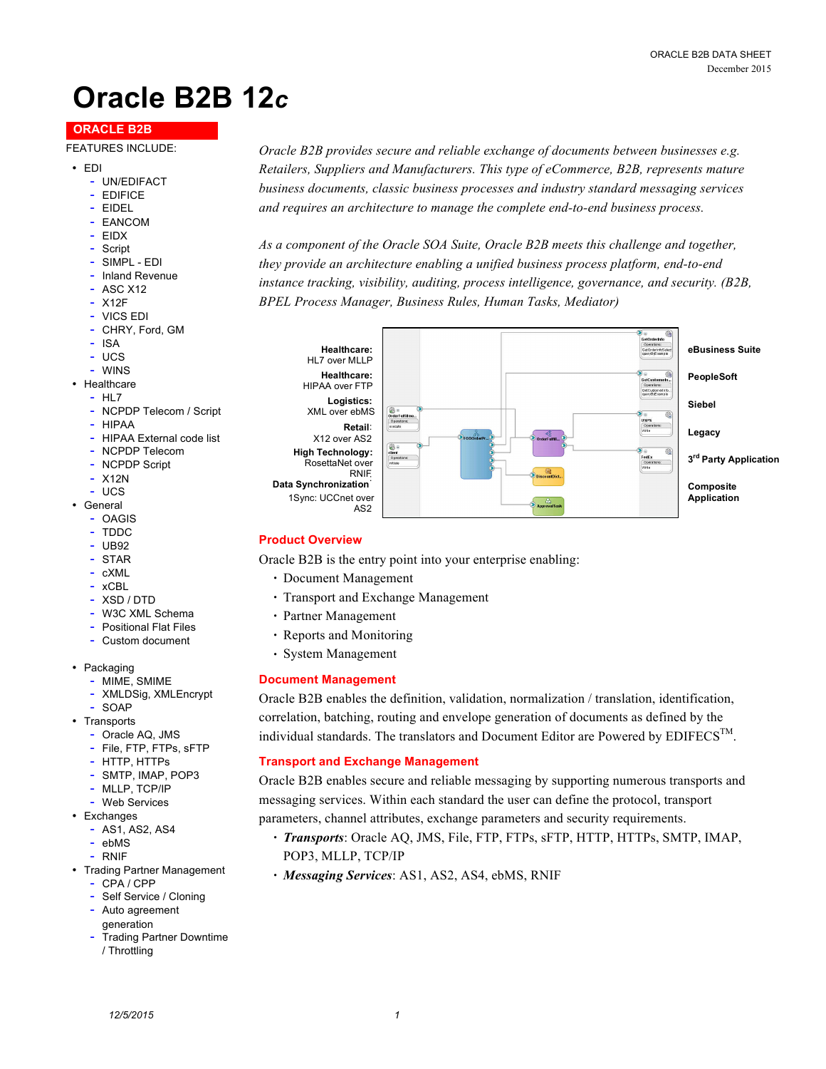# **Oracle B2B 12***c*

## **ORACLE B2B**

#### FEATURES INCLUDE:

- EDI
	- UN/EDIFACT
	- EDIFICE
	- EIDEL
	- EANCOM
	- EIDX
	- Script
	- SIMPL EDI
	- Inland Revenue
	- ASC X12
	- X12F
	- VICS EDI
	- CHRY, Ford, GM
	- ISA
	- UCS
	- **WINS**
- Healthcare
	- HL7
	- NCPDP Telecom / Script
	- HIPAA
	- HIPAA External code list
	- NCPDP Telecom - NCPDP Script
	-
	- X12N - UCS
- General
	- OAGIS
	- TDDC
	- UB92
	- STAR
	- cXML
	- xCBL
	- XSD / DTD
	- W3C XML Schema
	- Positional Flat Files
	- Custom document
- Packaging
	- MIME, SMIME
	- XMLDSig, XMLEncrypt
- SOAP
- Transports
	- Oracle AQ, JMS
	- File, FTP, FTPs, sFTP
	- HTTP, HTTPs
	- SMTP, IMAP, POP3
	- MLLP, TCP/IP
- Web Services • Exchanges
	- AS1, AS2, AS4
	- ebMS
	- RNIF
- Trading Partner Management
	- CPA / CPP
	- Self Service / Cloning
	- Auto agreement
	- generation - Trading Partner Downtime
	- / Throttling

*Oracle B2B provides secure and reliable exchange of documents between businesses e.g. Retailers, Suppliers and Manufacturers. This type of eCommerce, B2B, represents mature business documents, classic business processes and industry standard messaging services and requires an architecture to manage the complete end-to-end business process.* 

*As a component of the Oracle SOA Suite, Oracle B2B meets this challenge and together, they provide an architecture enabling a unified business process platform, end-to-end instance tracking, visibility, auditing, process intelligence, governance, and security. (B2B, BPEL Process Manager, Business Rules, Human Tasks, Mediator)* 



### **Product Overview**

Oracle B2B is the entry point into your enterprise enabling:

- Document Management
- Transport and Exchange Management
- Partner Management
- Reports and Monitoring
- System Management

### **Document Management**

Oracle B2B enables the definition, validation, normalization / translation, identification, correlation, batching, routing and envelope generation of documents as defined by the individual standards. The translators and Document Editor are Powered by  $EDIFECS<sup>TM</sup>$ .

### **Transport and Exchange Management**

Oracle B2B enables secure and reliable messaging by supporting numerous transports and messaging services. Within each standard the user can define the protocol, transport parameters, channel attributes, exchange parameters and security requirements.

- *Transports*: Oracle AQ, JMS, File, FTP, FTPs, sFTP, HTTP, HTTPs, SMTP, IMAP, POP3, MLLP, TCP/IP
- *Messaging Services*: AS1, AS2, AS4, ebMS, RNIF